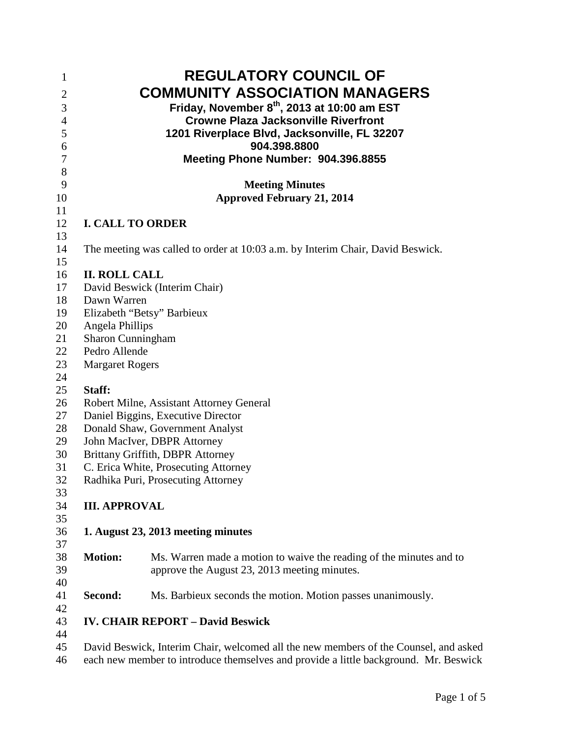| $\mathbf{1}$     |                                          | <b>REGULATORY COUNCIL OF</b>                                                         |  |
|------------------|------------------------------------------|--------------------------------------------------------------------------------------|--|
| $\overline{2}$   |                                          | <b>COMMUNITY ASSOCIATION MANAGERS</b>                                                |  |
| 3                |                                          | Friday, November 8th, 2013 at 10:00 am EST                                           |  |
| $\overline{4}$   |                                          | <b>Crowne Plaza Jacksonville Riverfront</b>                                          |  |
| 5                |                                          | 1201 Riverplace Blvd, Jacksonville, FL 32207                                         |  |
| 6                |                                          | 904.398.8800                                                                         |  |
| $\boldsymbol{7}$ |                                          | Meeting Phone Number: 904.396.8855                                                   |  |
| $8\,$            |                                          |                                                                                      |  |
| 9                |                                          | <b>Meeting Minutes</b>                                                               |  |
| 10               | <b>Approved February 21, 2014</b>        |                                                                                      |  |
| 11               |                                          |                                                                                      |  |
| 12               | <b>I. CALL TO ORDER</b>                  |                                                                                      |  |
| 13               |                                          |                                                                                      |  |
| 14               |                                          | The meeting was called to order at 10:03 a.m. by Interim Chair, David Beswick.       |  |
| 15               |                                          |                                                                                      |  |
| 16               | <b>II. ROLL CALL</b>                     |                                                                                      |  |
| 17               |                                          | David Beswick (Interim Chair)                                                        |  |
| 18               | Dawn Warren                              |                                                                                      |  |
| 19               | Elizabeth "Betsy" Barbieux               |                                                                                      |  |
| 20               | Angela Phillips                          |                                                                                      |  |
| 21               | <b>Sharon Cunningham</b>                 |                                                                                      |  |
| 22               | Pedro Allende                            |                                                                                      |  |
| 23               | <b>Margaret Rogers</b>                   |                                                                                      |  |
| 24               |                                          |                                                                                      |  |
| 25               | Staff:                                   |                                                                                      |  |
| 26               | Robert Milne, Assistant Attorney General |                                                                                      |  |
| 27               | Daniel Biggins, Executive Director       |                                                                                      |  |
| 28               | Donald Shaw, Government Analyst          |                                                                                      |  |
| 29               | John MacIver, DBPR Attorney              |                                                                                      |  |
| 30               | Brittany Griffith, DBPR Attorney         |                                                                                      |  |
| 31               | C. Erica White, Prosecuting Attorney     |                                                                                      |  |
| 32               |                                          | Radhika Puri, Prosecuting Attorney                                                   |  |
| 33               |                                          |                                                                                      |  |
| 34               | <b>III. APPROVAL</b>                     |                                                                                      |  |
| 35               |                                          |                                                                                      |  |
| 36               |                                          | 1. August 23, 2013 meeting minutes                                                   |  |
| 37               |                                          |                                                                                      |  |
| 38               | <b>Motion:</b>                           | Ms. Warren made a motion to waive the reading of the minutes and to                  |  |
| 39               |                                          | approve the August 23, 2013 meeting minutes.                                         |  |
| 40               |                                          |                                                                                      |  |
| 41               | Second:                                  | Ms. Barbieux seconds the motion. Motion passes unanimously.                          |  |
| 42               |                                          | <b>IV. CHAIR REPORT - David Beswick</b>                                              |  |
| 43<br>44         |                                          |                                                                                      |  |
| 45               |                                          | David Beswick, Interim Chair, welcomed all the new members of the Counsel, and asked |  |
|                  |                                          |                                                                                      |  |

each new member to introduce themselves and provide a little background. Mr. Beswick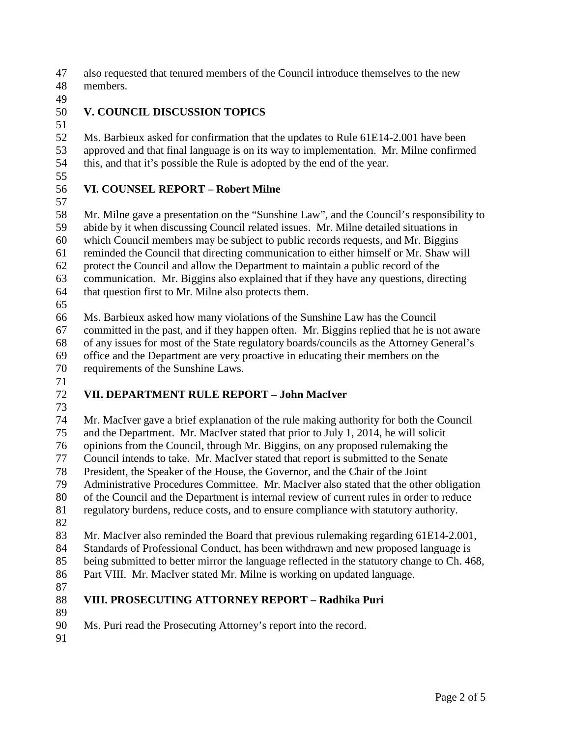also requested that tenured members of the Council introduce themselves to the new

- members.
- 

## **V. COUNCIL DISCUSSION TOPICS**

 $\frac{51}{52}$ Ms. Barbieux asked for confirmation that the updates to Rule 61E14-2.001 have been approved and that final language is on its way to implementation. Mr. Milne confirmed this, and that it's possible the Rule is adopted by the end of the year.

## **VI. COUNSEL REPORT – Robert Milne**

 Mr. Milne gave a presentation on the "Sunshine Law", and the Council's responsibility to abide by it when discussing Council related issues. Mr. Milne detailed situations in which Council members may be subject to public records requests, and Mr. Biggins reminded the Council that directing communication to either himself or Mr. Shaw will protect the Council and allow the Department to maintain a public record of the

- communication. Mr. Biggins also explained that if they have any questions, directing that question first to Mr. Milne also protects them.
- 

Ms. Barbieux asked how many violations of the Sunshine Law has the Council

committed in the past, and if they happen often. Mr. Biggins replied that he is not aware

of any issues for most of the State regulatory boards/councils as the Attorney General's

 office and the Department are very proactive in educating their members on the requirements of the Sunshine Laws.

## **VII. DEPARTMENT RULE REPORT – John MacIver**

 Mr. MacIver gave a brief explanation of the rule making authority for both the Council and the Department. Mr. MacIver stated that prior to July 1, 2014, he will solicit opinions from the Council, through Mr. Biggins, on any proposed rulemaking the 77 Council intends to take. Mr. MacIver stated that report is submitted to the Senate<br>78 President, the Speaker of the House, the Governor, and the Chair of the Joint President, the Speaker of the House, the Governor, and the Chair of the Joint Administrative Procedures Committee. Mr. MacIver also stated that the other obligation of the Council and the Department is internal review of current rules in order to reduce regulatory burdens, reduce costs, and to ensure compliance with statutory authority. 

Mr. MacIver also reminded the Board that previous rulemaking regarding 61E14-2.001,

 Standards of Professional Conduct, has been withdrawn and new proposed language is being submitted to better mirror the language reflected in the statutory change to Ch. 468,

Part VIII. Mr. MacIver stated Mr. Milne is working on updated language.

## **VIII. PROSECUTING ATTORNEY REPORT – Radhika Puri**

Ms. Puri read the Prosecuting Attorney's report into the record.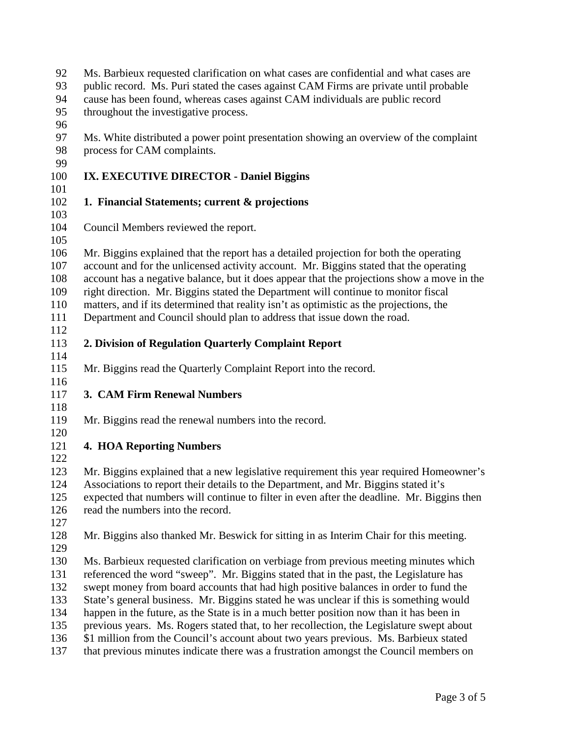| 92<br>93<br>94 | Ms. Barbieux requested clarification on what cases are confidential and what cases are<br>public record. Ms. Puri stated the cases against CAM Firms are private until probable<br>cause has been found, whereas cases against CAM individuals are public record |
|----------------|------------------------------------------------------------------------------------------------------------------------------------------------------------------------------------------------------------------------------------------------------------------|
| 95<br>96       | throughout the investigative process.                                                                                                                                                                                                                            |
| 97             | Ms. White distributed a power point presentation showing an overview of the complaint                                                                                                                                                                            |
| 98             | process for CAM complaints.                                                                                                                                                                                                                                      |
| 99             |                                                                                                                                                                                                                                                                  |
| 100            | IX. EXECUTIVE DIRECTOR - Daniel Biggins                                                                                                                                                                                                                          |
| 101<br>102     | 1. Financial Statements; current & projections                                                                                                                                                                                                                   |
| 103            |                                                                                                                                                                                                                                                                  |
| 104            | Council Members reviewed the report.                                                                                                                                                                                                                             |
| 105            |                                                                                                                                                                                                                                                                  |
| 106            | Mr. Biggins explained that the report has a detailed projection for both the operating                                                                                                                                                                           |
| 107            | account and for the unlicensed activity account. Mr. Biggins stated that the operating                                                                                                                                                                           |
| 108            | account has a negative balance, but it does appear that the projections show a move in the                                                                                                                                                                       |
| 109            | right direction. Mr. Biggins stated the Department will continue to monitor fiscal                                                                                                                                                                               |
| 110            | matters, and if its determined that reality isn't as optimistic as the projections, the                                                                                                                                                                          |
| 111            | Department and Council should plan to address that issue down the road.                                                                                                                                                                                          |
| 112            |                                                                                                                                                                                                                                                                  |
| 113            | 2. Division of Regulation Quarterly Complaint Report                                                                                                                                                                                                             |
| 114            |                                                                                                                                                                                                                                                                  |
| 115            | Mr. Biggins read the Quarterly Complaint Report into the record.                                                                                                                                                                                                 |
| 116            |                                                                                                                                                                                                                                                                  |
| 117            | 3. CAM Firm Renewal Numbers                                                                                                                                                                                                                                      |
| 118            |                                                                                                                                                                                                                                                                  |
| 119            | Mr. Biggins read the renewal numbers into the record.                                                                                                                                                                                                            |
| 120            |                                                                                                                                                                                                                                                                  |
| 121            | <b>4. HOA Reporting Numbers</b>                                                                                                                                                                                                                                  |
| 122            |                                                                                                                                                                                                                                                                  |
| 123            | Mr. Biggins explained that a new legislative requirement this year required Homeowner's                                                                                                                                                                          |
| 124            | Associations to report their details to the Department, and Mr. Biggins stated it's                                                                                                                                                                              |
| 125            | expected that numbers will continue to filter in even after the deadline. Mr. Biggins then                                                                                                                                                                       |
| 126            | read the numbers into the record.                                                                                                                                                                                                                                |
| 127            |                                                                                                                                                                                                                                                                  |
| 128            | Mr. Biggins also thanked Mr. Beswick for sitting in as Interim Chair for this meeting.                                                                                                                                                                           |
| 129            |                                                                                                                                                                                                                                                                  |
| 130            | Ms. Barbieux requested clarification on verbiage from previous meeting minutes which                                                                                                                                                                             |
| 131            | referenced the word "sweep". Mr. Biggins stated that in the past, the Legislature has                                                                                                                                                                            |
| 132            | swept money from board accounts that had high positive balances in order to fund the                                                                                                                                                                             |
| 133            | State's general business. Mr. Biggins stated he was unclear if this is something would                                                                                                                                                                           |
| 134            | happen in the future, as the State is in a much better position now than it has been in                                                                                                                                                                          |
| 135            | previous years. Ms. Rogers stated that, to her recollection, the Legislature swept about                                                                                                                                                                         |
| 136            | \$1 million from the Council's account about two years previous. Ms. Barbieux stated                                                                                                                                                                             |
| 137            | that previous minutes indicate there was a frustration amongst the Council members on                                                                                                                                                                            |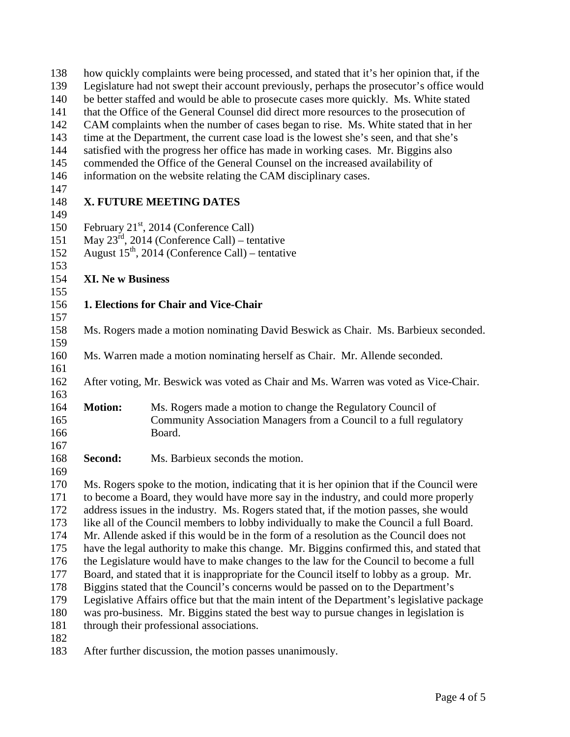| 138<br>139 | how quickly complaints were being processed, and stated that it's her opinion that, if the<br>Legislature had not swept their account previously, perhaps the prosecutor's office would |                                                                                            |  |  |  |
|------------|-----------------------------------------------------------------------------------------------------------------------------------------------------------------------------------------|--------------------------------------------------------------------------------------------|--|--|--|
| 140        | be better staffed and would be able to prosecute cases more quickly. Ms. White stated                                                                                                   |                                                                                            |  |  |  |
| 141        | that the Office of the General Counsel did direct more resources to the prosecution of                                                                                                  |                                                                                            |  |  |  |
| 142        | CAM complaints when the number of cases began to rise. Ms. White stated that in her                                                                                                     |                                                                                            |  |  |  |
| 143        | time at the Department, the current case load is the lowest she's seen, and that she's                                                                                                  |                                                                                            |  |  |  |
| 144        | satisfied with the progress her office has made in working cases. Mr. Biggins also                                                                                                      |                                                                                            |  |  |  |
| 145        | commended the Office of the General Counsel on the increased availability of                                                                                                            |                                                                                            |  |  |  |
| 146        |                                                                                                                                                                                         | information on the website relating the CAM disciplinary cases.                            |  |  |  |
| 147        |                                                                                                                                                                                         |                                                                                            |  |  |  |
| 148        |                                                                                                                                                                                         | X. FUTURE MEETING DATES                                                                    |  |  |  |
| 149        |                                                                                                                                                                                         |                                                                                            |  |  |  |
| 150        | February 21 <sup>st</sup> , 2014 (Conference Call)                                                                                                                                      |                                                                                            |  |  |  |
| 151        | May $23^{rd}$ , 2014 (Conference Call) – tentative                                                                                                                                      |                                                                                            |  |  |  |
| 152        |                                                                                                                                                                                         | August $15^{th}$ , 2014 (Conference Call) – tentative                                      |  |  |  |
| 153        |                                                                                                                                                                                         |                                                                                            |  |  |  |
| 154        | <b>XI. New Business</b>                                                                                                                                                                 |                                                                                            |  |  |  |
| 155        |                                                                                                                                                                                         |                                                                                            |  |  |  |
| 156        |                                                                                                                                                                                         | 1. Elections for Chair and Vice-Chair                                                      |  |  |  |
| 157        |                                                                                                                                                                                         |                                                                                            |  |  |  |
| 158        | Ms. Rogers made a motion nominating David Beswick as Chair. Ms. Barbieux seconded.                                                                                                      |                                                                                            |  |  |  |
| 159<br>160 |                                                                                                                                                                                         |                                                                                            |  |  |  |
| 161        |                                                                                                                                                                                         | Ms. Warren made a motion nominating herself as Chair. Mr. Allende seconded.                |  |  |  |
| 162        | After voting, Mr. Beswick was voted as Chair and Ms. Warren was voted as Vice-Chair.                                                                                                    |                                                                                            |  |  |  |
| 163        |                                                                                                                                                                                         |                                                                                            |  |  |  |
| 164        | <b>Motion:</b>                                                                                                                                                                          | Ms. Rogers made a motion to change the Regulatory Council of                               |  |  |  |
| 165        |                                                                                                                                                                                         | Community Association Managers from a Council to a full regulatory                         |  |  |  |
| 166        |                                                                                                                                                                                         | Board.                                                                                     |  |  |  |
| 167        |                                                                                                                                                                                         |                                                                                            |  |  |  |
| 168        | Second:                                                                                                                                                                                 | Ms. Barbieux seconds the motion.                                                           |  |  |  |
| 169        |                                                                                                                                                                                         |                                                                                            |  |  |  |
| 170        |                                                                                                                                                                                         | Ms. Rogers spoke to the motion, indicating that it is her opinion that if the Council were |  |  |  |
| 171        | to become a Board, they would have more say in the industry, and could more properly                                                                                                    |                                                                                            |  |  |  |
| 172        | address issues in the industry. Ms. Rogers stated that, if the motion passes, she would                                                                                                 |                                                                                            |  |  |  |
| 173        | like all of the Council members to lobby individually to make the Council a full Board.                                                                                                 |                                                                                            |  |  |  |
| 174        | Mr. Allende asked if this would be in the form of a resolution as the Council does not                                                                                                  |                                                                                            |  |  |  |
| 175        | have the legal authority to make this change. Mr. Biggins confirmed this, and stated that                                                                                               |                                                                                            |  |  |  |
| 176        | the Legislature would have to make changes to the law for the Council to become a full                                                                                                  |                                                                                            |  |  |  |
| 177        | Board, and stated that it is inappropriate for the Council itself to lobby as a group. Mr.                                                                                              |                                                                                            |  |  |  |
| 178        | Biggins stated that the Council's concerns would be passed on to the Department's                                                                                                       |                                                                                            |  |  |  |
| 179        | Legislative Affairs office but that the main intent of the Department's legislative package                                                                                             |                                                                                            |  |  |  |
| 180        | was pro-business. Mr. Biggins stated the best way to pursue changes in legislation is                                                                                                   |                                                                                            |  |  |  |
| 181        |                                                                                                                                                                                         | through their professional associations.                                                   |  |  |  |
| 182        |                                                                                                                                                                                         |                                                                                            |  |  |  |
| 183        |                                                                                                                                                                                         | After further discussion, the motion passes unanimously.                                   |  |  |  |